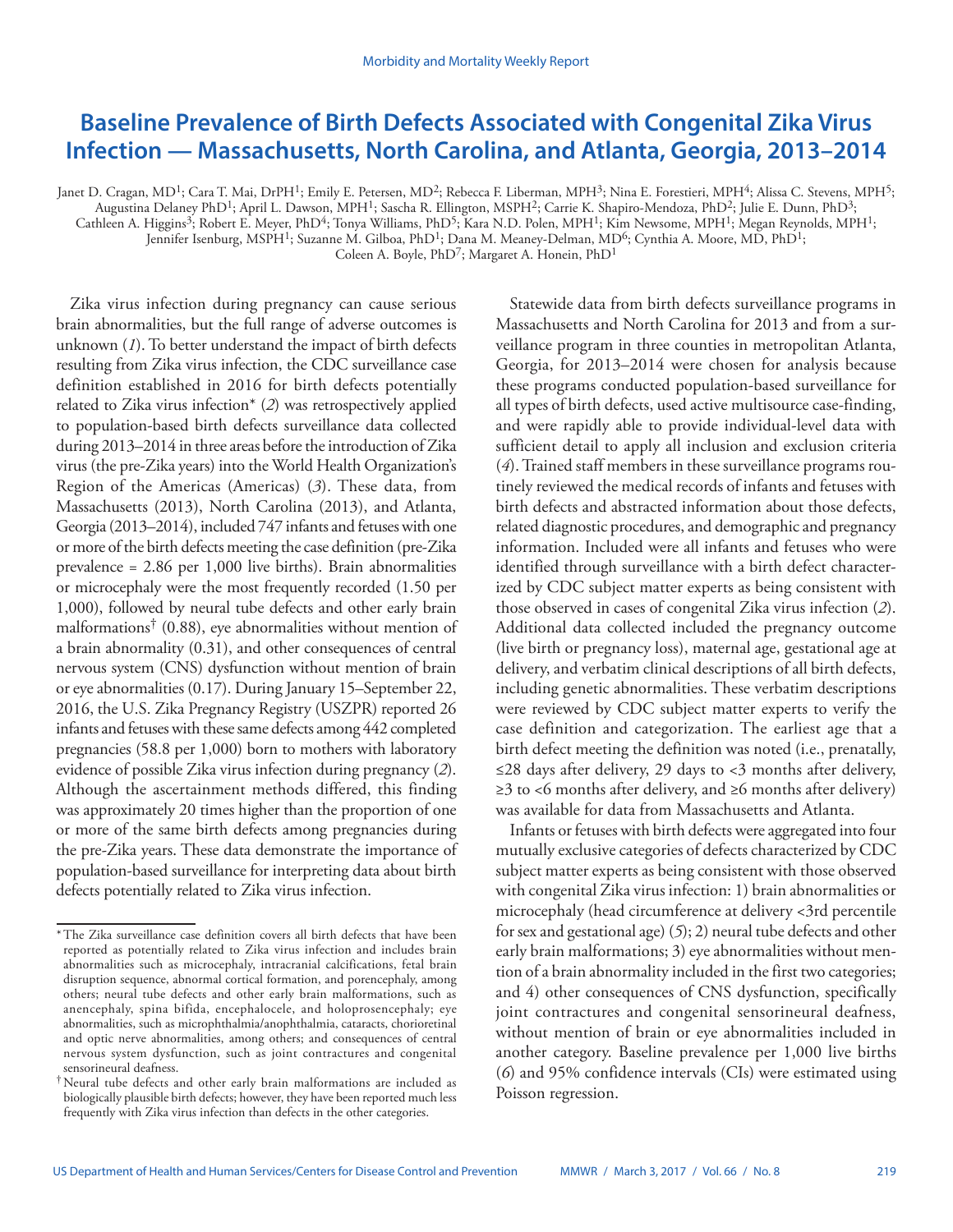# **Baseline Prevalence of Birth Defects Associated with Congenital Zika Virus Infection — Massachusetts, North Carolina, and Atlanta, Georgia, 2013–2014**

Janet D. Cragan, MD<sup>1</sup>; Cara T. Mai, DrPH<sup>1</sup>; Emily E. Petersen, MD<sup>2</sup>; Rebecca F. Liberman, MPH<sup>3</sup>; Nina E. Forestieri, MPH<sup>4</sup>; Alissa C. Stevens, MPH<sup>5</sup>; Augustina Delaney PhD1; April L. Dawson, MPH1; Sascha R. Ellington, MSPH2; Carrie K. Shapiro-Mendoza, PhD2; Julie E. Dunn, PhD3; Cathleen A. Higgins<sup>3</sup>; Robert E. Meyer, PhD<sup>4</sup>; Tonya Williams, PhD<sup>5</sup>; Kara N.D. Polen, MPH<sup>1</sup>; Kim Newsome, MPH<sup>1</sup>; Megan Reynolds, MPH<sup>1</sup>; Jennifer Isenburg, MSPH<sup>1</sup>; Suzanne M. Gilboa, PhD<sup>1</sup>; Dana M. Meaney-Delman, MD<sup>6</sup>; Cynthia A. Moore, MD, PhD<sup>1</sup>; Coleen A. Boyle, PhD7; Margaret A. Honein, PhD1

Zika virus infection during pregnancy can cause serious brain abnormalities, but the full range of adverse outcomes is unknown (*1*). To better understand the impact of birth defects resulting from Zika virus infection, the CDC surveillance case definition established in 2016 for birth defects potentially related to Zika virus infection\* (*2*) was retrospectively applied to population-based birth defects surveillance data collected during 2013–2014 in three areas before the introduction of Zika virus (the pre-Zika years) into the World Health Organization's Region of the Americas (Americas) (*3*). These data, from Massachusetts (2013), North Carolina (2013), and Atlanta, Georgia (2013–2014), included 747 infants and fetuses with one or more of the birth defects meeting the case definition (pre-Zika prevalence = 2.86 per 1,000 live births). Brain abnormalities or microcephaly were the most frequently recorded (1.50 per 1,000), followed by neural tube defects and other early brain malformations<sup>†</sup> (0.88), eye abnormalities without mention of a brain abnormality (0.31), and other consequences of central nervous system (CNS) dysfunction without mention of brain or eye abnormalities (0.17). During January 15–September 22, 2016, the U.S. Zika Pregnancy Registry (USZPR) reported 26 infants and fetuses with these same defects among 442 completed pregnancies (58.8 per 1,000) born to mothers with laboratory evidence of possible Zika virus infection during pregnancy (*2*). Although the ascertainment methods differed, this finding was approximately 20 times higher than the proportion of one or more of the same birth defects among pregnancies during the pre-Zika years. These data demonstrate the importance of population-based surveillance for interpreting data about birth defects potentially related to Zika virus infection.

Statewide data from birth defects surveillance programs in Massachusetts and North Carolina for 2013 and from a surveillance program in three counties in metropolitan Atlanta, Georgia, for 2013–2014 were chosen for analysis because these programs conducted population-based surveillance for all types of birth defects, used active multisource case-finding, and were rapidly able to provide individual-level data with sufficient detail to apply all inclusion and exclusion criteria (*4*). Trained staff members in these surveillance programs routinely reviewed the medical records of infants and fetuses with birth defects and abstracted information about those defects, related diagnostic procedures, and demographic and pregnancy information. Included were all infants and fetuses who were identified through surveillance with a birth defect characterized by CDC subject matter experts as being consistent with those observed in cases of congenital Zika virus infection (*2*). Additional data collected included the pregnancy outcome (live birth or pregnancy loss), maternal age, gestational age at delivery, and verbatim clinical descriptions of all birth defects, including genetic abnormalities. These verbatim descriptions were reviewed by CDC subject matter experts to verify the case definition and categorization. The earliest age that a birth defect meeting the definition was noted (i.e., prenatally, ≤28 days after delivery, 29 days to <3 months after delivery, ≥3 to <6 months after delivery, and ≥6 months after delivery) was available for data from Massachusetts and Atlanta.

Infants or fetuses with birth defects were aggregated into four mutually exclusive categories of defects characterized by CDC subject matter experts as being consistent with those observed with congenital Zika virus infection: 1) brain abnormalities or microcephaly (head circumference at delivery <3rd percentile for sex and gestational age) (*5*); 2) neural tube defects and other early brain malformations; 3) eye abnormalities without mention of a brain abnormality included in the first two categories; and 4) other consequences of CNS dysfunction, specifically joint contractures and congenital sensorineural deafness, without mention of brain or eye abnormalities included in another category. Baseline prevalence per 1,000 live births (*6*) and 95% confidence intervals (CIs) were estimated using Poisson regression.

<sup>\*</sup>The Zika surveillance case definition covers all birth defects that have been reported as potentially related to Zika virus infection and includes brain abnormalities such as microcephaly, intracranial calcifications, fetal brain disruption sequence, abnormal cortical formation, and porencephaly, among others; neural tube defects and other early brain malformations, such as anencephaly, spina bifida, encephalocele, and holoprosencephaly; eye abnormalities, such as microphthalmia/anophthalmia, cataracts, chorioretinal and optic nerve abnormalities, among others; and consequences of central nervous system dysfunction, such as joint contractures and congenital sensorineural deafness.

<sup>†</sup>Neural tube defects and other early brain malformations are included as biologically plausible birth defects; however, they have been reported much less frequently with Zika virus infection than defects in the other categories.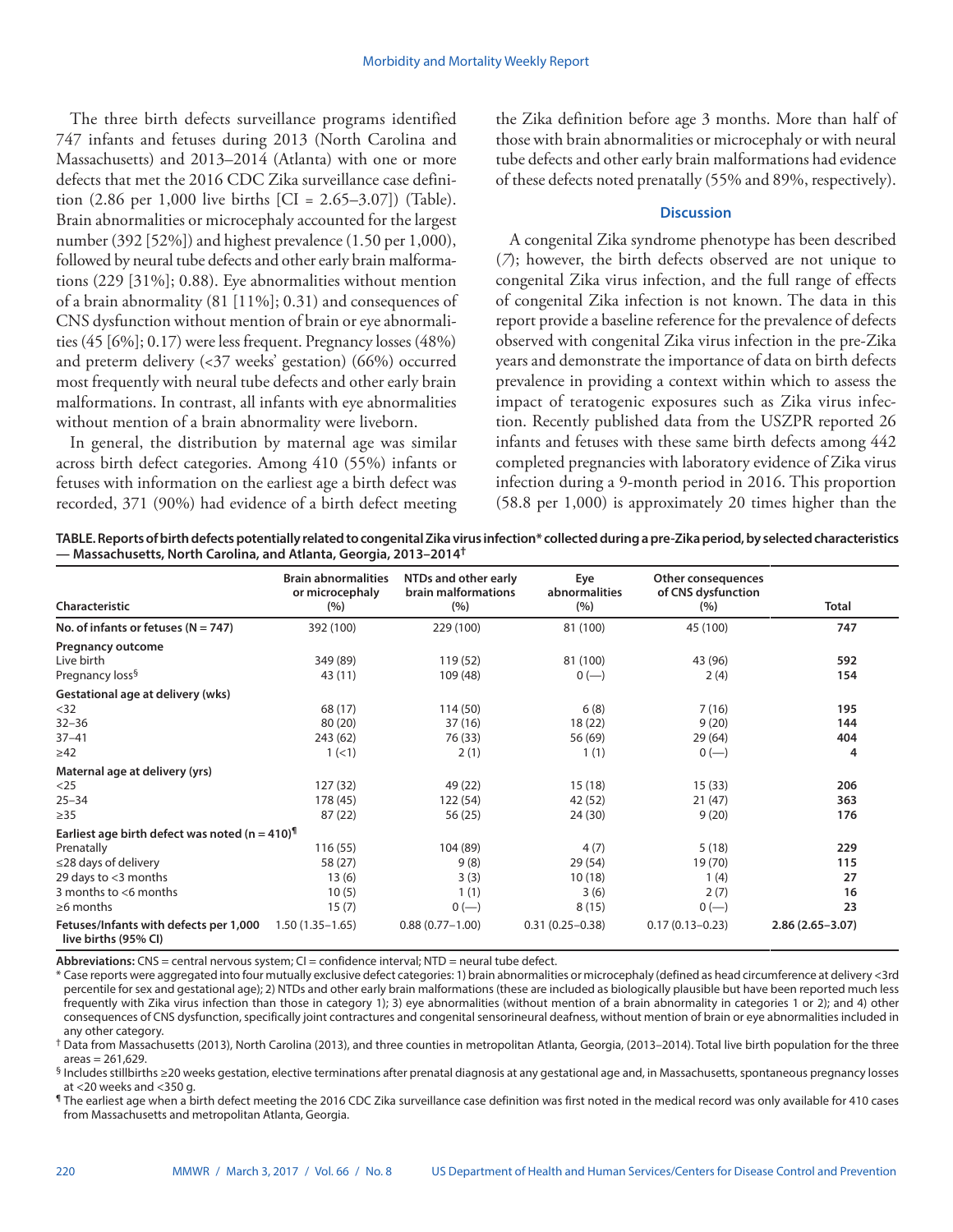The three birth defects surveillance programs identified 747 infants and fetuses during 2013 (North Carolina and Massachusetts) and 2013–2014 (Atlanta) with one or more defects that met the 2016 CDC Zika surveillance case definition  $(2.86 \text{ per } 1,000 \text{ live births } [CI = 2.65-3.07])$  (Table). Brain abnormalities or microcephaly accounted for the largest number (392 [52%]) and highest prevalence (1.50 per 1,000), followed by neural tube defects and other early brain malformations (229 [31%]; 0.88). Eye abnormalities without mention of a brain abnormality (81 [11%]; 0.31) and consequences of CNS dysfunction without mention of brain or eye abnormalities (45 [6%]; 0.17) were less frequent. Pregnancy losses (48%) and preterm delivery (<37 weeks' gestation) (66%) occurred most frequently with neural tube defects and other early brain malformations. In contrast, all infants with eye abnormalities without mention of a brain abnormality were liveborn.

In general, the distribution by maternal age was similar across birth defect categories. Among 410 (55%) infants or fetuses with information on the earliest age a birth defect was recorded, 371 (90%) had evidence of a birth defect meeting the Zika definition before age 3 months. More than half of those with brain abnormalities or microcephaly or with neural tube defects and other early brain malformations had evidence of these defects noted prenatally (55% and 89%, respectively).

## **Discussion**

A congenital Zika syndrome phenotype has been described (*7*); however, the birth defects observed are not unique to congenital Zika virus infection, and the full range of effects of congenital Zika infection is not known. The data in this report provide a baseline reference for the prevalence of defects observed with congenital Zika virus infection in the pre-Zika years and demonstrate the importance of data on birth defects prevalence in providing a context within which to assess the impact of teratogenic exposures such as Zika virus infection. Recently published data from the USZPR reported 26 infants and fetuses with these same birth defects among 442 completed pregnancies with laboratory evidence of Zika virus infection during a 9-month period in 2016. This proportion (58.8 per 1,000) is approximately 20 times higher than the

**TABLE. Reports of birth defects potentially related to congenital Zika virus infection\* collected during a pre-Zika period, by selected characteristics — Massachusetts, North Carolina, and Atlanta, Georgia, 2013–2014†**

| Characteristic                                                 | <b>Brain abnormalities</b><br>or microcephaly<br>(%) | NTDs and other early<br>brain malformations<br>(%) | Eye<br>abnormalities<br>(%) | Other consequences<br>of CNS dysfunction<br>(%) | Total               |
|----------------------------------------------------------------|------------------------------------------------------|----------------------------------------------------|-----------------------------|-------------------------------------------------|---------------------|
| No. of infants or fetuses ( $N = 747$ )                        | 392 (100)                                            | 229 (100)                                          | 81 (100)                    | 45 (100)                                        | 747                 |
| <b>Pregnancy outcome</b>                                       |                                                      |                                                    |                             |                                                 |                     |
| Live birth                                                     | 349 (89)                                             | 119 (52)                                           | 81 (100)                    | 43 (96)                                         | 592                 |
| Pregnancy loss <sup>§</sup>                                    | 43 (11)                                              | 109 (48)                                           | $0 (-)$                     | 2(4)                                            | 154                 |
| Gestational age at delivery (wks)                              |                                                      |                                                    |                             |                                                 |                     |
| $32$                                                           | 68 (17)                                              | 114(50)                                            | 6(8)                        | 7(16)                                           | 195                 |
| $32 - 36$                                                      | 80(20)                                               | 37(16)                                             | 18(22)                      | 9(20)                                           | 144                 |
| $37 - 41$                                                      | 243 (62)                                             | 76 (33)                                            | 56 (69)                     | 29(64)                                          | 404                 |
| $\geq$ 42                                                      | 1 (< 1)                                              | 2(1)                                               | 1(1)                        | $0 (-)$                                         | 4                   |
| Maternal age at delivery (yrs)                                 |                                                      |                                                    |                             |                                                 |                     |
| $<$ 25                                                         | 127 (32)                                             | 49 (22)                                            | 15(18)                      | 15(33)                                          | 206                 |
| $25 - 34$                                                      | 178 (45)                                             | 122 (54)                                           | 42 (52)                     | 21(47)                                          | 363                 |
| $\geq$ 35                                                      | 87(22)                                               | 56 (25)                                            | 24 (30)                     | 9(20)                                           | 176                 |
| Earliest age birth defect was noted (n = 410) <sup>1</sup>     |                                                      |                                                    |                             |                                                 |                     |
| Prenatally                                                     | 116(55)                                              | 104 (89)                                           | 4(7)                        | 5(18)                                           | 229                 |
| $\leq$ 28 days of delivery                                     | 58 (27)                                              | 9(8)                                               | 29 (54)                     | 19 (70)                                         | 115                 |
| 29 days to <3 months                                           | 13(6)                                                | 3(3)                                               | 10(18)                      | 1(4)                                            | 27                  |
| 3 months to <6 months                                          | 10(5)                                                | 1(1)                                               | 3(6)                        | 2(7)                                            | 16                  |
| $\geq 6$ months                                                | 15(7)                                                | $0 (-)$                                            | 8(15)                       | $0 (-)$                                         | 23                  |
| Fetuses/Infants with defects per 1,000<br>live births (95% CI) | $1.50(1.35 - 1.65)$                                  | $0.88(0.77 - 1.00)$                                | $0.31(0.25 - 0.38)$         | $0.17(0.13 - 0.23)$                             | $2.86(2.65 - 3.07)$ |

**Abbreviations:** CNS = central nervous system; CI = confidence interval; NTD = neural tube defect.

\* Case reports were aggregated into four mutually exclusive defect categories: 1) brain abnormalities or microcephaly (defined as head circumference at delivery <3rd percentile for sex and gestational age); 2) NTDs and other early brain malformations (these are included as biologically plausible but have been reported much less frequently with Zika virus infection than those in category 1); 3) eye abnormalities (without mention of a brain abnormality in categories 1 or 2); and 4) other consequences of CNS dysfunction, specifically joint contractures and congenital sensorineural deafness, without mention of brain or eye abnormalities included in any other category.

† Data from Massachusetts (2013), North Carolina (2013), and three counties in metropolitan Atlanta, Georgia, (2013–2014). Total live birth population for the three  $area = 261,629.$ 

§ Includes stillbirths ≥20 weeks gestation, elective terminations after prenatal diagnosis at any gestational age and, in Massachusetts, spontaneous pregnancy losses at <20 weeks and <350 g.

 $\texttt{^I}$  The earliest age when a birth defect meeting the 2016 CDC Zika surveillance case definition was first noted in the medical record was only available for 410 cases from Massachusetts and metropolitan Atlanta, Georgia.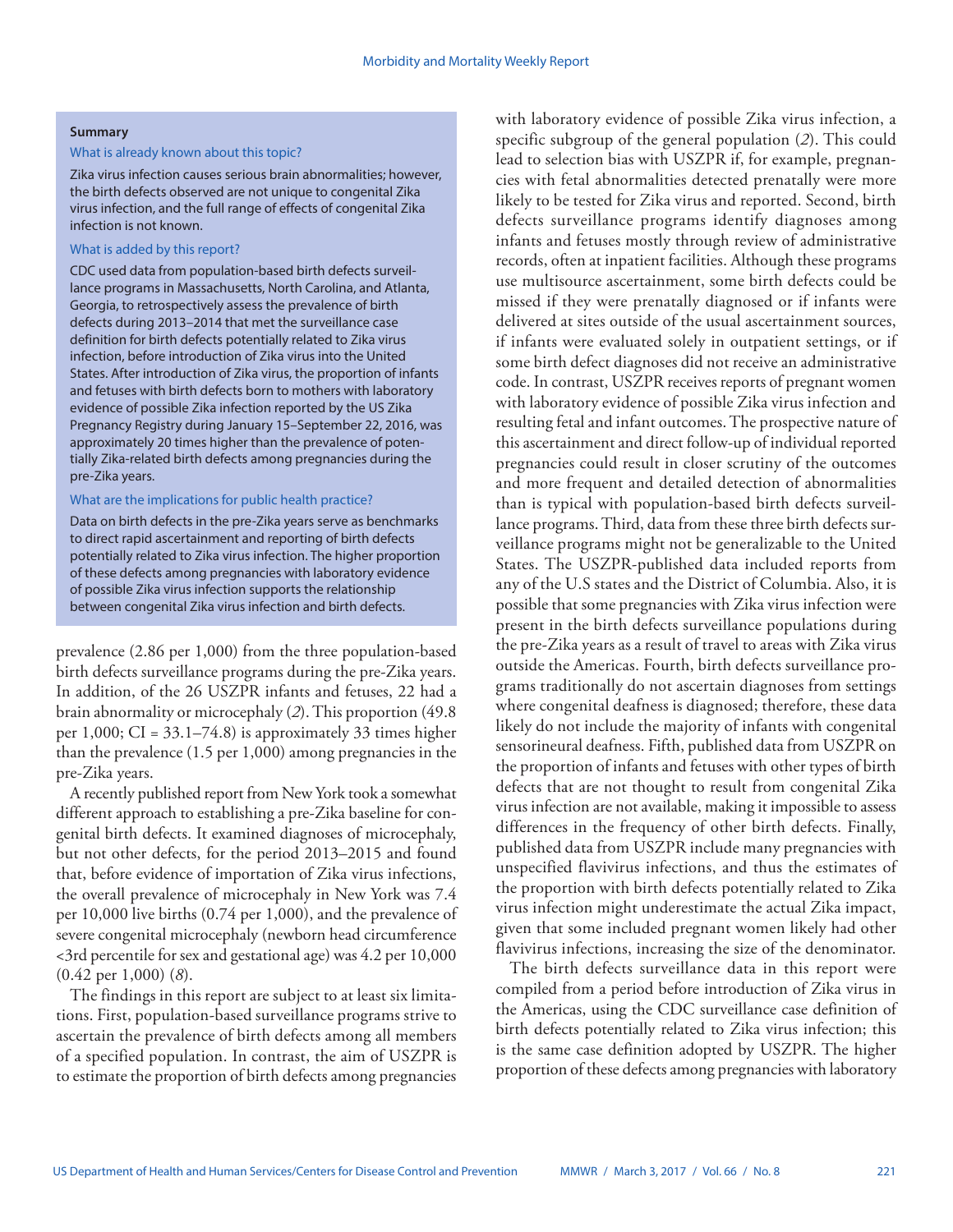#### **Summary**

### What is already known about this topic?

Zika virus infection causes serious brain abnormalities; however, the birth defects observed are not unique to congenital Zika virus infection, and the full range of effects of congenital Zika infection is not known.

## What is added by this report?

CDC used data from population-based birth defects surveillance programs in Massachusetts, North Carolina, and Atlanta, Georgia, to retrospectively assess the prevalence of birth defects during 2013–2014 that met the surveillance case definition for birth defects potentially related to Zika virus infection, before introduction of Zika virus into the United States. After introduction of Zika virus, the proportion of infants and fetuses with birth defects born to mothers with laboratory evidence of possible Zika infection reported by the US Zika Pregnancy Registry during January 15–September 22, 2016, was approximately 20 times higher than the prevalence of potentially Zika-related birth defects among pregnancies during the pre-Zika years.

## What are the implications for public health practice?

Data on birth defects in the pre-Zika years serve as benchmarks to direct rapid ascertainment and reporting of birth defects potentially related to Zika virus infection. The higher proportion of these defects among pregnancies with laboratory evidence of possible Zika virus infection supports the relationship between congenital Zika virus infection and birth defects.

prevalence (2.86 per 1,000) from the three population-based birth defects surveillance programs during the pre-Zika years. In addition, of the 26 USZPR infants and fetuses, 22 had a brain abnormality or microcephaly (*2*). This proportion (49.8 per  $1,000$ ; CI =  $33.1 - 74.8$ ) is approximately 33 times higher than the prevalence (1.5 per 1,000) among pregnancies in the pre-Zika years.

A recently published report from New York took a somewhat different approach to establishing a pre-Zika baseline for congenital birth defects. It examined diagnoses of microcephaly, but not other defects, for the period 2013–2015 and found that, before evidence of importation of Zika virus infections, the overall prevalence of microcephaly in New York was 7.4 per 10,000 live births (0.74 per 1,000), and the prevalence of severe congenital microcephaly (newborn head circumference <3rd percentile for sex and gestational age) was 4.2 per 10,000 (0.42 per 1,000) (*8*).

The findings in this report are subject to at least six limitations. First, population-based surveillance programs strive to ascertain the prevalence of birth defects among all members of a specified population. In contrast, the aim of USZPR is to estimate the proportion of birth defects among pregnancies with laboratory evidence of possible Zika virus infection, a specific subgroup of the general population (*2*). This could lead to selection bias with USZPR if, for example, pregnancies with fetal abnormalities detected prenatally were more likely to be tested for Zika virus and reported. Second, birth defects surveillance programs identify diagnoses among infants and fetuses mostly through review of administrative records, often at inpatient facilities. Although these programs use multisource ascertainment, some birth defects could be missed if they were prenatally diagnosed or if infants were delivered at sites outside of the usual ascertainment sources, if infants were evaluated solely in outpatient settings, or if some birth defect diagnoses did not receive an administrative code. In contrast, USZPR receives reports of pregnant women with laboratory evidence of possible Zika virus infection and resulting fetal and infant outcomes. The prospective nature of this ascertainment and direct follow-up of individual reported pregnancies could result in closer scrutiny of the outcomes and more frequent and detailed detection of abnormalities than is typical with population-based birth defects surveillance programs. Third, data from these three birth defects surveillance programs might not be generalizable to the United States. The USZPR-published data included reports from any of the U.S states and the District of Columbia. Also, it is possible that some pregnancies with Zika virus infection were present in the birth defects surveillance populations during the pre-Zika years as a result of travel to areas with Zika virus outside the Americas. Fourth, birth defects surveillance programs traditionally do not ascertain diagnoses from settings where congenital deafness is diagnosed; therefore, these data likely do not include the majority of infants with congenital sensorineural deafness. Fifth, published data from USZPR on the proportion of infants and fetuses with other types of birth defects that are not thought to result from congenital Zika virus infection are not available, making it impossible to assess differences in the frequency of other birth defects. Finally, published data from USZPR include many pregnancies with unspecified flavivirus infections, and thus the estimates of the proportion with birth defects potentially related to Zika virus infection might underestimate the actual Zika impact, given that some included pregnant women likely had other flavivirus infections, increasing the size of the denominator.

The birth defects surveillance data in this report were compiled from a period before introduction of Zika virus in the Americas, using the CDC surveillance case definition of birth defects potentially related to Zika virus infection; this is the same case definition adopted by USZPR. The higher proportion of these defects among pregnancies with laboratory